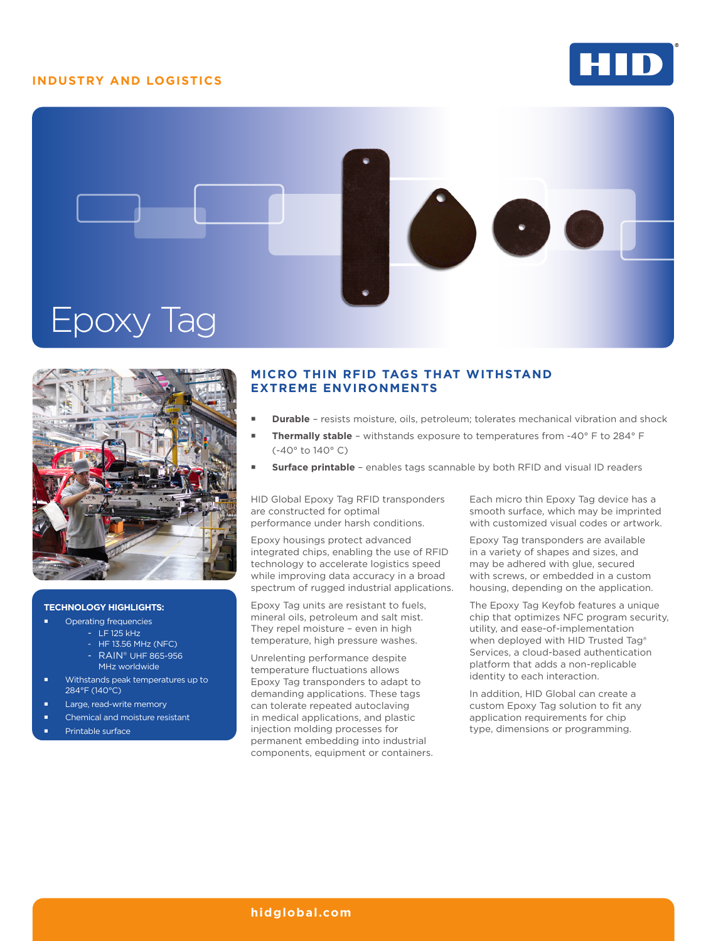# **INDUSTRY AND LOGISTICS**







#### **TECHNOLOGY HIGHLIGHTS:**

- Operating frequencies
	- LF 125 kHz
	- HF 13.56 MHz (NFC)
	- RAIN® UHF 865-956 MHz worldwide
- Withstands peak temperatures up to 284°F (140°C)
- Large, read-write memory
- Chemical and moisture resistant
- Printable surface

# **MICRO THIN RFID TAGS THAT WITHSTAND EXTREME ENVIRONMENTS**

- **Durable**  resists moisture, oils, petroleum; tolerates mechanical vibration and shock
- **Thermally stable**  withstands exposure to temperatures from -40° F to 284° F (-40° to 140° C)
- **Surface printable**  enables tags scannable by both RFID and visual ID readers

HID Global Epoxy Tag RFID transponders are constructed for optimal performance under harsh conditions.

Epoxy housings protect advanced integrated chips, enabling the use of RFID technology to accelerate logistics speed while improving data accuracy in a broad spectrum of rugged industrial applications.

Epoxy Tag units are resistant to fuels, mineral oils, petroleum and salt mist. They repel moisture – even in high temperature, high pressure washes.

Unrelenting performance despite temperature fluctuations allows Epoxy Tag transponders to adapt to demanding applications. These tags can tolerate repeated autoclaving in medical applications, and plastic injection molding processes for permanent embedding into industrial components, equipment or containers. Each micro thin Epoxy Tag device has a smooth surface, which may be imprinted with customized visual codes or artwork.

Epoxy Tag transponders are available in a variety of shapes and sizes, and may be adhered with glue, secured with screws, or embedded in a custom housing, depending on the application.

The Epoxy Tag Keyfob features a unique chip that optimizes NFC program security, utility, and ease-of-implementation when deployed with HID Trusted Tag® Services, a cloud-based authentication platform that adds a non-replicable identity to each interaction.

In addition, HID Global can create a custom Epoxy Tag solution to fit any application requirements for chip type, dimensions or programming.

### **hidglobal.com**